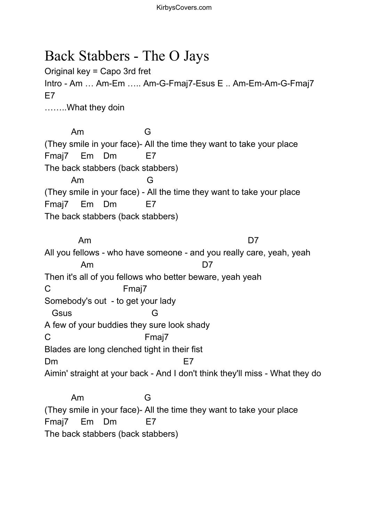## Back Stabbers - The O Jays

Original key = Capo 3rd fret Intro - Am … Am-Em ….. Am-G-Fmaj7-Esus E .. Am-Em-Am-G-Fmaj7 E7 ……..What they doin

Am G (They smile in your face)- All the time they want to take your place Fmaj7 Em Dm E7 The back stabbers (back stabbers) Am G (They smile in your face) - All the time they want to take your place Fmaj7 Em Dm E7 The back stabbers (back stabbers)

Am D7 All you fellows - who have someone - and you really care, yeah, yeah Am D7 Then it's all of you fellows who better beware, yeah yeah C Fmaj7 Somebody's out - to get your lady Gsus G A few of your buddies they sure look shady C Fmaj7 Blades are long clenched tight in their fist Dm extended to the E7 Aimin' straight at your back - And I don't think they'll miss - What they do Am G

(They smile in your face)- All the time they want to take your place Fmaj7 Em Dm E7 The back stabbers (back stabbers)